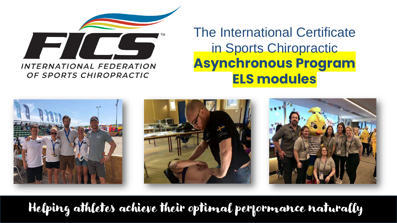

OF SPORTS CHIROPRACTIC

The International Certificate in Sports Chiropractic **Asynchronous Program ELS modules**



Helping athletes achieve their optimal performance naturally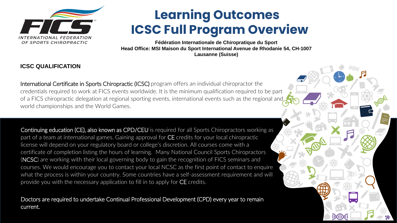

# **Learning Outcomes ICSC Full Program Overview**

**Fédération Internationale de Chiropratique du Sport Head Office: MSI Maison du Sport International Avenue de Rhodanie 54, CH-1007 Lausanne (Suisse)**

#### **ICSC QUALIFICATION**

International Certificate in Sports Chiropractic (ICSC) program offers an individual chiropractor the credentials required to work at FICS events worldwide. It is the minimum qualification required to be part of a FICS chiropractic delegation at regional sporting events, international events such as the regional and world championships and the World Games.

Continuing education (CE), also known as CPD/CEU is required for all Sports Chiropractors working as part of a team at international games. Gaining approval for CE credits for your local chiropractic license will depend on your regulatory board or college's discretion. All courses come with a certificate of completion listing the hours of learning. Many National Council Sports Chiropractors (NCSC) are working with their local governing body to gain the recognition of FICS seminars and courses. We would encourage you to contact your local NCSC as the first point of contact to enquire what the process is within your country. Some countries have a self-assessment requirement and will provide you with the necessary application to fill in to apply for CE credits.

Doctors are required to undertake Continual Professional Development (CPD) every year to remain current.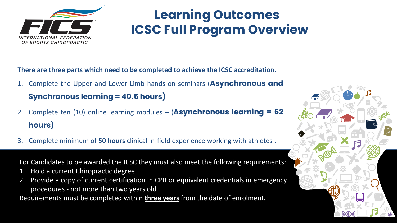

# **Learning Outcomes ICSC Full Program Overview**

**There are three parts which need to be completed to achieve the ICSC accreditation.** 

1. Complete the Upper and Lower Limb hands-on seminars (**Asynchronous and**

### **Synchronous learning = 40.5 hours)**

- 2. Complete ten (10) online learning modules (**Asynchronous learning = 62 hours)**
- 3. Complete minimum of **50 hours** clinical in-field experience working with athletes .

For Candidates to be awarded the ICSC they must also meet the following requirements:

- 1. Hold a current Chiropractic degree
- 2. Provide a copy of current certification in CPR or equivalent credentials in emergency procedures - not more than two years old.

Requirements must be completed within **three years** from the date of enrolment.

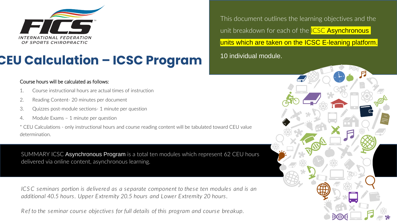

# **CEU Calculation – ICSC Program**

This document outlines the learning objectives and the unit breakdown for each of the **ICSC Asynchronous** units which are taken on the ICSC E-leaning platform. 10 individual module.

#### Course hours will be calculated as follows:

- 1. Course instructional hours are actual times of instruction
- 2. Reading Content- 20 minutes per document
- 3. Quizzes post-module sections- 1 minute per question
- 4. Module Exams 1 minute per question

\* CEU Calculations - only instructional hours and course reading content will be tabulated toward CEU value determination.

SUMMARY ICSC Asynchronous Program is a total ten modules which represent 62 CEU hours delivered via online content, asynchronous learning.

*ICSC seminars portion is delivered as a separate component to these ten modules and is an additional 40.5 hours. Upper Extremity 20.5 hours and Lower Extremity 20 hours.* 

*R ef to the seminar course objectives for full details of this program and course breakup.*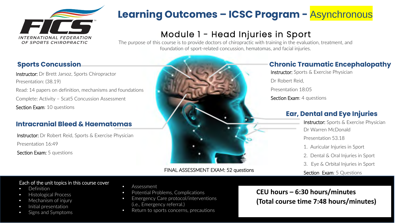

### Module 1 - Head Injuries in Sport

The purpose of this course is to provide doctors of chiropractic with training in the evaluation, treatment, and foundation of sport-related concussion, hematomas, and facial injuries.

### **Sports Concussion**

Instructor: Dr Brett Jarsoz, Sports Chiropractor Presentation: (38.19) Read: 14 papers on definition, mechanisms and foundations Complete: Activity – Scat5 Concussion Assessment Section Exam: 10 questions

#### **Intracranial Bleed & Haematomas**

Instructor: Dr Robert Reid, Sports & Exercise Physician Presentation 16:49 Section Exam: 5 questions

FINAL ASSESSMENT EXAM: 52 questions

### **Chronic Traumatic Encephalopathy**

Instructor: Sports & Exercise Physician Dr Robert Reid, Presentation 18:05 Section Exam: 4 questions

### **Ear, Dental and Eye Injuries**

Instructor: Sports & Exercise Physician Dr Warren McDonald Presentation 53.18 1. Auricular Injuries in Sport 2. Dental & Oral Injuries in Sport

3. Eye & Orbital Injuries in Sport

Section Exam: 5 Questions

#### Each of the unit topics in this course cover

- Definition
- Histological Process
- Mechanism of injury
- Initial presentation
- Signs and Symptoms
- Assessment
- Potential Problems, Complications
- Emergency Care protocol/interventions (i.e., Emergency referral.)
- Return to sports concerns, precautions

**CEU hours – 6:30 hours/minutes (Total course time 7:48 hours/minutes)**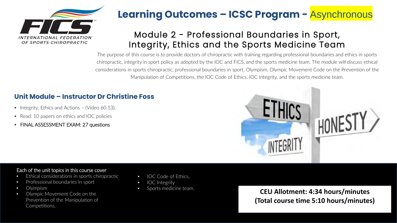

### Module 2 - Professional Boundaries in Sport, Integrity, Ethics and the Sports Medicine Team

The purpose of this course is to provide doctors of chiropractic with training regarding professional boundaries and ethics in sports chiropractic, integrity in sport policy as adopted by the IOC and FICS, and the sports medicine team. The module will discuss ethical considerations in sports chiropractic, professional boundaries in sport, Olympism, Olympic Movement Code on the Prevention of the Manipulation of Competitions, the IOC Code of Ethics, IOC Integrity, and the sports medicine team.

### **Unit Module – Instructor Dr Christine Foss**

- Integrity, Ethics and Actions (Video 60.13),
- Read: 10 papers on ethics and IOC policies
- FINAL ASSESSMENT EXAM: 27 questions



#### Each of the unit topics in this course cover

- Ethical considerations in sports chiropractic
- Professional boundaries in sport
- Olympism
- Olympic Movement Code on the Prevention of the Manipulation of Competitions,
- IOC Code of Ethics,
- IOC Integrity
- 

• Sports medicine team. **CEU Allotment: 4:34 hours/minutes (Total course time 5:10 hours/minutes)**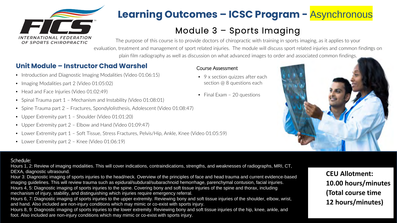

### Module 3 – Sports Imaging

The purpose of this course is to provide doctors of chiropractic with training in sports imaging, as it applies to your evaluation, treatment and management of sport related injuries. The module will discuss sport related injuries and common findings on plain film radiography as well as discussion on what advanced images to order and associated common findings.

### **Unit Module – Instructor Chad Warshel**

- Introduction and Diagnostic Imaging Modalities (Video 01:06:15)
- Imaging Modalities part 2 (Video 01:05:02)
- Head and Face Injuries (Video 01:02:49)
- Spinal Trauma part 1 Mechanism and Instability (Video 01:08:01)
- Spine Trauma part 2 Fractures, Spondylolisthesis, Adolescent (Video 01:08:47)
- Upper Extremity part 1 Shoulder (Video 01:01:20)
- Upper Extremity part 2 Elbow and Hand (Video 01:09:47)
- Lower Extremity part 1 Soft Tissue, Stress Fractures, Pelvis/Hip, Ankle, Knee (Video 01:05:59)
- Lower Extremity part 2 Knee (Video 01:06:19)

#### Course Assessment

- 9 x section quizzes after each section @ 8 questions each
- Final Exam 20 questions



#### Schedule:

Hours 1, 2: Review of imaging modalities. This will cover indications, contraindications, strengths, and weaknesses of radiographs, MRI, CT, DEXA, diagnostic ultrasound.

Hour 3: Diagnostic imaging of sports injuries to the head/neck. Overview of the principles of face and head trauma and current evidence-based imaging guidelines. This will review trauma such as epidural/subdural/subarachnoid hemorrhage, parenchymal contusion, facial injuries. Hours 4, 5: Diagnostic imaging of sports injuries to the spine. Covering bony and soft tissue injuries of the spine and thorax, including mechanism of injury, stability, and distinguishing which injuries require emergency referral.

Hours 6, 7: Diagnostic imaging of sports injuries to the upper extremity. Reviewing bony and soft tissue injuries of the shoulder, elbow, wrist, and hand. Also included are non-injury conditions which may mimic or co-exist with sports injury.

Hours 8, 9: Diagnostic imaging of sports injuries to the lower extremity. Reviewing bony and soft tissue injuries of the hip, knee, ankle, and foot. Also included are non-injury conditions which may mimic or co-exist with sports injury.

**CEU Allotment: 10.00 hours/minutes (Total course time 12 hours/minutes)**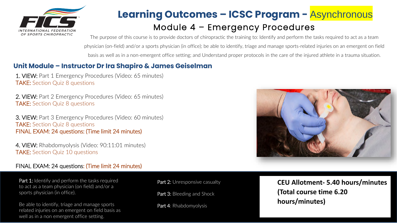

### Module 4 – Emergency Procedures **Learning Outcomes – ICSC Program -** Asynchronous

The purpose of this course is to provide doctors of chiropractic the training to: Identify and perform the tasks required to act as a team physician (on-field) and/or a sports physician (in office); be able to identify, triage and manage sports-related injuries on an emergent on field basis as well as in a non-emergent office setting; and Understand proper protocols in the care of the injured athlete in a trauma situation.

### **Unit Module – Instructor Dr Ira Shapiro & James Geiselman**

1. VIEW: Part 1 Emergency Procedures (Video: 65 minutes) TAKE: Section Quiz 8 questions

2. VIEW: Part 2 Emergency Procedures (Video: 65 minutes) TAKE: Section Quiz 8 questions

3. VIEW: Part 3 Emergency Procedures (Video: 60 minutes) TAKE: Section Quiz 8 questions FINAL EXAM: 24 questions: (Time limit 24 minutes)

4. VIEW: Rhabdomyolysis (Video: 90:11:01 minutes) TAKE: Section Quiz 10 questions

#### FINAL EXAM: 24 questions: (Time limit 24 minutes)

Part 1: Identify and perform the tasks required to act as a team physician (on field) and/or a sports physician (in office).

Be able to identify, triage and manage sports related injuries on an emergent on field basis as well as in a non emergent office setting.

Part 2: Unresponsive casualty

Part 3: Bleeding and Shock

Part 4: Rhabdomyolysis



**CEU Allotment- 5.40 hours/minutes (Total course time 6.20 hours/minutes)**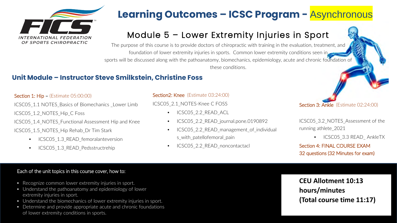

### Module 5 – Lower Extremity Injuries in Sport

The purpose of this course is to provide doctors of chiropractic with training in the evaluation, treatment, and foundation of lower extremity injuries in sports. Common lower extremity conditions seen in sports will be discussed along with the pathoanatomy, biomechanics, epidemiology, acute and chronic foundation of these conditions.

### **Unit Module – Instructor Steve Smilkstein, Christine Foss**

Section 1: Hip – (Estimate 05:00:00)

ICSC05 1.1 NOTES Basics of Biomechanics Lower Limb

ICSC05\_1.2\_NOTES\_Hip\_C Foss

ICSC05\_1.4\_NOTES\_Functional Assessment Hip and Knee ICSC05\_1.5\_NOTES\_Hip Rehab\_Dr Tim Stark

- ICSC05 1.3 READ femoralanteversion
- ICSC05\_1.3\_READ\_Pedsstructrehip

#### Section2: Knee (Estimate 03:24:00)

ICSC05\_2.1\_NOTES-Knee C FOSS

- ICSC05 2.2 READ ACL
- ICSC05 2.2 READ journal.pone.0190892
- ICSC05 2.2 READ management of individual s with patellofemoral pain
- ICSC05\_2.2\_READ\_noncontactacl

Section 3: Ankle (Estimate 02:24:00)

ICSC05\_3.2\_NOTES\_Assessment of the running athlete\_2021

• ICSC05 3.3 READ AnkleTX

Section 4: FINAL COURSE EXAM 32 questions (32 Minutes for exam)

#### Each of the unit topics in this course cover, how to:

- Recognize common lower extremity injuries in sport.
- Understand the pathoanatomy and epidemiology of lower extremity injuries in sport.
- Understand the biomechanics of lower extremity injuries in sport.
- Determine and provide appropriate acute and chronic foundations of lower extremity conditions in sports.

**CEU Allotment 10:13 hours/minutes (Total course time 11:17)**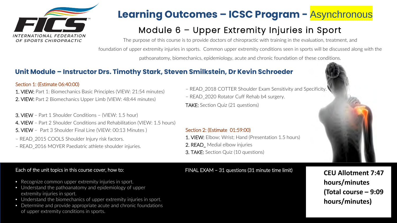

### Module 6 – Upper Extremity Injuries in Sport

The purpose of this course is to provide doctors of chiropractic with training in the evaluation, treatment, and foundation of upper extremity injuries in sports. Common upper extremity conditions seen in sports will be discussed along with the pathoanatomy, biomechanics, epidemiology, acute and chronic foundation of these conditions.

### **Unit Module – Instructor Drs. Timothy Stark, Steven Smilkstein, Dr Kevin Schroeder**

#### Section 1: (Estimate 06:40:00)

- 1. VIEW: Part 1: Biomechanics Basic Principles (VIEW: 21:54 minutes) 2. VIEW: Part 2 Biomechanics Upper Limb (VIEW: 48:44 minutes)
- 3. VIEW Part 1 Shoulder Conditions (VIEW: 1.5 hour)
- 4. VIEW Part 2 Shoulder Conditions and Rehabilitation (VIEW: 1.5 hours)
- 5. VIEW Part 3 Shoulder Final Line (VIEW: 00:13 Minutes )
- READ\_2015 COOLS Shoulder Injury risk factors.
- READ\_2016 MOYER Paediatric athlete shoulder injuries.
- READ\_2018 COTTER Shoulder Exam Sensitivity and Specificity.
- READ\_2020 Rotator Cuff Rehab b4 surgery.
- TAKE: Section Quiz (21 questions)

#### Section 2: (Estimate 01:59:00)

- 1. VIEW: Elbow; Wrist; Hand (Presentation 1.5 hours)
- 2. READ\_ Medial elbow injuries
- 3. TAKE: Section Quiz (10 questions)

#### Each of the unit topics in this course cover, how to:

- Recognize common upper extremity injuries in sport.
- Understand the pathoanatomy and epidemiology of upper extremity injuries in sport.
- Understand the biomechanics of upper extremity injuries in sport.
- Determine and provide appropriate acute and chronic foundations of upper extremity conditions in sports.

#### FINAL EXAM – 31 questions (31 minute time limit)

**CEU Allotment 7:47 hours/minutes (Total course – 9:09 hours/minutes)**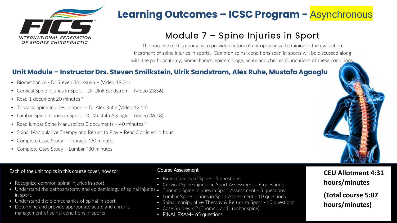

### Module 7 – Spine Injuries in Sport

The purpose of this course is to provide doctors of chiropractic with training in the evaluation, treatment of spine injuries in sports. Common spinal conditions seen in sports will be discussed along with the pathoanatomy, biomechanics, epidemiology, acute and chronic foundations of these conditions.

#### **Unit Module – Instructor Drs. Steven Smilkstein, Ulrik Sandstrom, Alex Ruhe, Mustafa Agaoglu**

- Biomechanics Dr Steven Smilkstein (Video 19:01)
- Cervical Spine Injuries in Sport Dr Ulrik Sandstrom (Video 23:56)
- Read 1 document 20 minutes  $*$
- Thoracic Spine Injuries in Sport Dr Alex Ruhe (Video 12:13)
- Lumbar Spine Injuries in Sport Dr Mustafa Agaoglu (Video 36:18)
- Read lumbar Spine Manuscripts 2 documents 40 minutes  $*$
- Spinal Manipulative Therapy and Return to Play Read 3 articles<sup>\*</sup> 1 hour
- Complete Case Study Thoracic \*30 minutes
- Complete Case Study Lumbar \*30 minutes

#### Each of the unit topics in this course cover, how to:

- Recognize common spinal injuries in sport.
- Understand the pathoanatomy and epidemiology of spinal injuries Thoracic Spine Injuries in Sport Assessment 5 questions in sport.
- Understand the biomechanics of spinal in sport.
- Determine and provide appropriate acute and chronic management of spinal conditions in sports

- Biomechanics of Spine 5 questions
- Cervical Spine injuries in Sport Assessment 6 questions
	-
- Lumbar Spine Injuries in Sport Assessment 10 questions
- Spinal manipulative Therapy & Return to Sport 10 questions
- Case Studies x 2 (Thoracic and Lumbar spine)
- FINAL EXAM- 65 questions

### Course Assessment **CEU Allotment 4:31 hours/minutes**

**(Total course 5:07 hours/minutes)**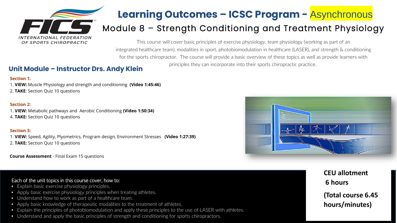

### Module 8 – Strength Conditioning and Treatment Physiology

This course will cover basic principles of exercise physiology, team physiology (working as part of an integrated healthcare team), modalities in sport, photobiomodulation in healthcare (LASER), and strength & conditioning for the sports chiropractor. The course will provide a basic overview of these topics as well as provide learners with

### principles they can incorporate into their sports chiropractic practice. **Unit Module – Instructor Drs. Andy Klein**

#### **Section 1:**

- 1. **VIEW:** Muscle Physiology and strength and conditioning **(Video 1:45:46)**
- 2. **TAKE**: Section Quiz 10 questions

#### **Section 2:**

- 1. **VIEW:** Metabolic pathways and Aerobic Conditioning **(Video 1:50:34)**
- 4. **TAKE:** Section Quiz 10 questions

#### **Section 3:**

1. **VIEW:** Speed, Agility, Plyometrics, Program design, Environment Stresses **(Video 1:27:39)** 2. **TAKE:** Section Quiz 10 questions

**Course Assessment** - Final Exam 15 questions

#### Each of the unit topics in this course cover, how to:

- Explain basic exercise physiology principles.
- Apply basic exercise physiology principles when treating athletes.
- Understand how to work as part of a healthcare team.
- Apply basic knowledge of therapeutic modalities to the treatment of athletes.
- Explain the principles of photobiomodulation and apply these principles to the use of LASER with athletes.
- Understand and apply the basic principles of strength and conditioning for sports chiropractors.



**CEU allotment 6 hours (Total course 6.45 hours/minutes)**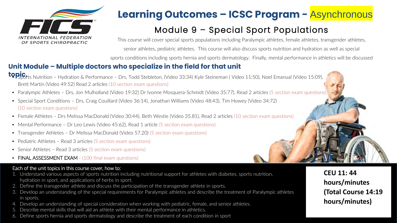

### Module 9 – Special Sport Populations

This course will cover special sports populations including Paralympic athletes, female athletes, transgender athletes, senior athletes, pediatric athletes. This course will also discuss sports nutrition and hydration as well as special sports conditions including sports hernia and sports dermatology. Finally, mental performance in athletics will be discussed

### **Unit Module – Multiple doctors who specialize in the field for that unit**

- **topic.**  Sports Nutrition Hydration & Performance Drs, Todd Stebleton, (Video 33:34) Kyle Steineman ( Video 11:50), Noel Emanual (Video 15:09), Brett Martin (Video 49:52) Read 2 articles (10 section exam questions)
	- Paralympic Athletes Drs, Jon Mulholland (Video 19:32) Dr Ivonne Mosquera-Schmidt (Video 35:77), Read 2 articles (5 section exam questions)
	- Special Sport Conditions Drs, Craig Couillard (Video 36:14), Jonathan Williams (Video 48:43), Tim Howey (Video 34:72) (10 section exam questions)
	- Female Athletes Drs Melissa MacDonald (Video 30:44), Beth Westie (Video 35.81), Read 2 articles (10 section exam questions)
	- Mental Performance Dr Leo Lewis (Video 45:62), Read 1 article (5 section exam questions)
	- Transgender Athletes Dr Melissa MacDonald (Video 57.20) (5 section exam questions)
	- Pediatric Athletes Read 3 articles (5 section exam questions)
	- Senior Athletes Read 3 articles (5 section exam questions)
	- FINAL ASSESSMENT EXAM (100 final exam questions)

#### Each of the unit topics in this course cover, how to:

- 1. Understand various aspects of sports nutrition including nutritional support for athletes with diabetes, sports nutrition, hydration in sport, and applications of herbs in sport.
- 2. Define the transgender athlete and discuss the participation of the transgender athlete in sports.
- 3. Develop an understanding of the special requirements for Paralympic athletes and describe the treatment of Paralympic athletes in sports.
- 4. Develop an understanding of special consideration when working with pediatric, female, and senior athletes.
- 5. Describe mental skills that will aid an athlete with their mental performance in athletics.
- 6. Define sports hernia and sports dermatology and describe the treatment of each condition in sport

**CEU 11: 44 hours/minutes (Total Course 14:19 hours/minutes)**